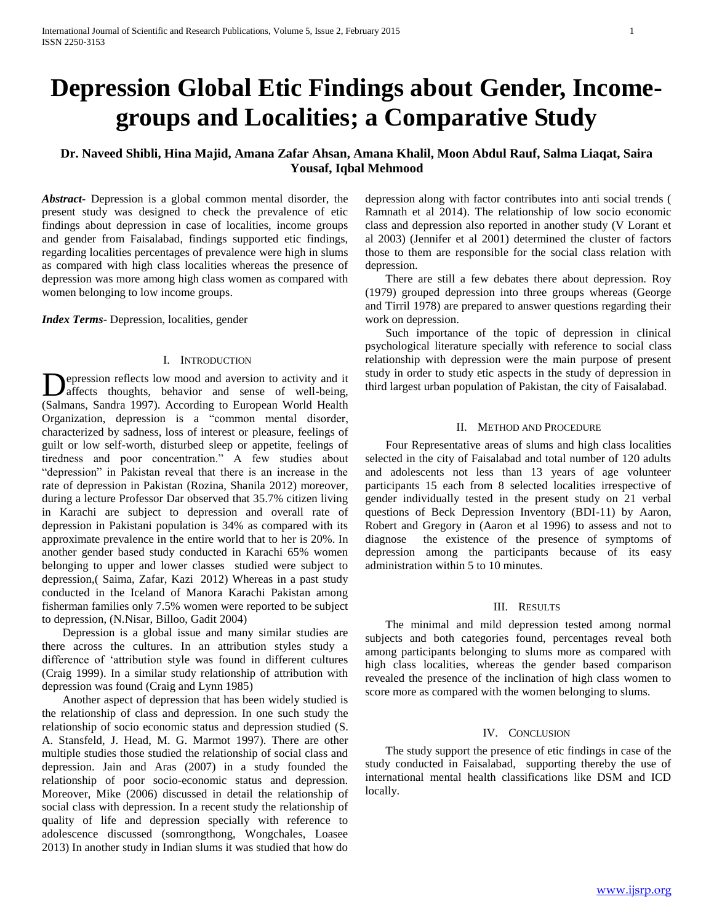# **Depression Global Etic Findings about Gender, Incomegroups and Localities; a Comparative Study**

## **Dr. Naveed Shibli, Hina Majid, Amana Zafar Ahsan, Amana Khalil, Moon Abdul Rauf, Salma Liaqat, Saira Yousaf, Iqbal Mehmood**

*Abstract***-** Depression is a global common mental disorder, the present study was designed to check the prevalence of etic findings about depression in case of localities, income groups and gender from Faisalabad, findings supported etic findings, regarding localities percentages of prevalence were high in slums as compared with high class localities whereas the presence of depression was more among high class women as compared with women belonging to low income groups.

*Index Terms*- Depression, localities, gender

### I. INTRODUCTION

epression reflects low mood and aversion to activity and it **D**epression reflects low mood and aversion to activity and it<br>affects thoughts, behavior and sense of well-being, (Salmans, Sandra 1997). According to European World Health Organization, depression is a "common mental disorder, characterized by sadness, loss of interest or pleasure, feelings of guilt or low self-worth, disturbed sleep or appetite, feelings of tiredness and poor concentration." A few studies about "depression" in Pakistan reveal that there is an increase in the rate of depression in Pakistan (Rozina, Shanila 2012) moreover, during a lecture Professor Dar observed that 35.7% citizen living in Karachi are subject to depression and overall rate of depression in Pakistani population is 34% as compared with its approximate prevalence in the entire world that to her is 20%. In another gender based study conducted in Karachi 65% women belonging to upper and lower classes studied were subject to depression,( Saima, Zafar, Kazi 2012) Whereas in a past study conducted in the Iceland of Manora Karachi Pakistan among fisherman families only 7.5% women were reported to be subject to depression, (N.Nisar, Billoo, Gadit 2004)

 Depression is a global issue and many similar studies are there across the cultures. In an attribution styles study a difference of 'attribution style was found in different cultures (Craig 1999). In a similar study relationship of attribution with depression was found (Craig and Lynn 1985)

 Another aspect of depression that has been widely studied is the relationship of class and depression. In one such study the relationship of socio economic status and depression studied (S. A. Stansfeld, J. Head, M. G. Marmot 1997). There are other multiple studies those studied the relationship of social class and depression. Jain and Aras (2007) in a study founded the relationship of poor socio-economic status and depression. Moreover, Mike (2006) discussed in detail the relationship of social class with depression. In a recent study the relationship of quality of life and depression specially with reference to adolescence discussed (somrongthong, Wongchales, Loasee 2013) In another study in Indian slums it was studied that how do depression along with factor contributes into anti social trends ( Ramnath et al 2014). The relationship of low socio economic class and depression also reported in another study (V Lorant et al 2003) (Jennifer et al 2001) determined the cluster of factors those to them are responsible for the social class relation with depression.

 There are still a few debates there about depression. Roy (1979) grouped depression into three groups whereas (George and Tirril 1978) are prepared to answer questions regarding their work on depression.

 Such importance of the topic of depression in clinical psychological literature specially with reference to social class relationship with depression were the main purpose of present study in order to study etic aspects in the study of depression in third largest urban population of Pakistan, the city of Faisalabad.

#### II. METHOD AND PROCEDURE

 Four Representative areas of slums and high class localities selected in the city of Faisalabad and total number of 120 adults and adolescents not less than 13 years of age volunteer participants 15 each from 8 selected localities irrespective of gender individually tested in the present study on 21 verbal questions of Beck Depression Inventory (BDI-11) by Aaron, Robert and Gregory in (Aaron et al 1996) to assess and not to diagnose the existence of the presence of symptoms of depression among the participants because of its easy administration within 5 to 10 minutes.

#### III. RESULTS

 The minimal and mild depression tested among normal subjects and both categories found, percentages reveal both among participants belonging to slums more as compared with high class localities, whereas the gender based comparison revealed the presence of the inclination of high class women to score more as compared with the women belonging to slums.

#### IV. CONCLUSION

 The study support the presence of etic findings in case of the study conducted in Faisalabad, supporting thereby the use of international mental health classifications like DSM and ICD locally.